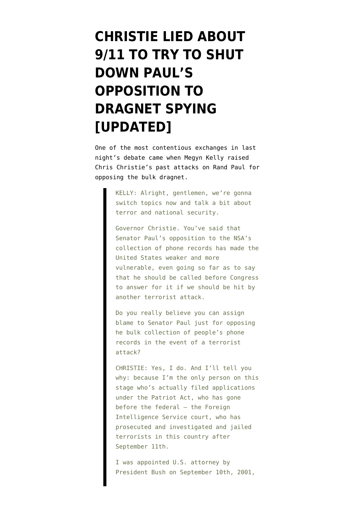## **[CHRISTIE LIED ABOUT](https://www.emptywheel.net/2015/08/07/christie-lied-about-911-to-try-to-shut-down-pauls-opposition-to-dragnet-spying/) [9/11 TO TRY TO SHUT](https://www.emptywheel.net/2015/08/07/christie-lied-about-911-to-try-to-shut-down-pauls-opposition-to-dragnet-spying/) [DOWN PAUL'S](https://www.emptywheel.net/2015/08/07/christie-lied-about-911-to-try-to-shut-down-pauls-opposition-to-dragnet-spying/) [OPPOSITION TO](https://www.emptywheel.net/2015/08/07/christie-lied-about-911-to-try-to-shut-down-pauls-opposition-to-dragnet-spying/) [DRAGNET SPYING](https://www.emptywheel.net/2015/08/07/christie-lied-about-911-to-try-to-shut-down-pauls-opposition-to-dragnet-spying/) [\[UPDATED\]](https://www.emptywheel.net/2015/08/07/christie-lied-about-911-to-try-to-shut-down-pauls-opposition-to-dragnet-spying/)**

One of the most contentious exchanges in last night's debate came when Megyn Kelly [raised](http://www.washingtonpost.com/news/post-politics/wp/2015/08/06/annotated-transcript-the-aug-6-gop-debate/) Chris Christie's past attacks on Rand Paul for opposing the bulk dragnet.

> KELLY: Alright, gentlemen, we're gonna switch topics now and talk a bit about terror and national security.

Governor Christie. You've said that Senator Paul's opposition to the NSA's collection of phone records has made the United States weaker and more vulnerable, even going so far as to say that he should be called before Congress to answer for it if we should be hit by another terrorist attack.

Do you really believe you can assign blame to Senator Paul just for opposing he bulk collection of people's phone records in the event of a terrorist attack?

CHRISTIE: Yes, I do. And I'll tell you why: because I'm the only person on this stage who's actually filed applications under the Patriot Act, who has gone before the federal — the Foreign Intelligence Service court, who has prosecuted and investigated and jailed terrorists in this country after September 11th.

I was appointed U.S. attorney by President Bush on September 10th, 2001,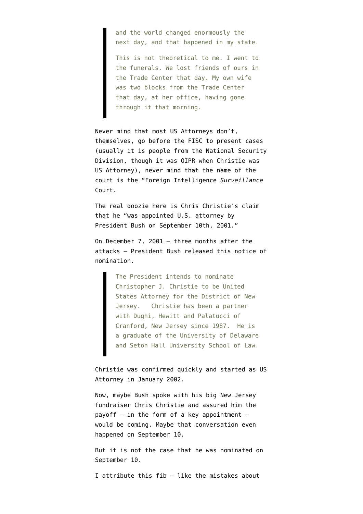and the world changed enormously the next day, and that happened in my state.

This is not theoretical to me. I went to the funerals. We lost friends of ours in the Trade Center that day. My own wife was two blocks from the Trade Center that day, at her office, having gone through it that morning.

Never mind that most US Attorneys don't, themselves, go before the FISC to present cases (usually it is people from the National Security Division, though it was OIPR when Christie was US Attorney), never mind that the name of the court is the "Foreign Intelligence *Surveillance* Court.

The real doozie here is Chris Christie's claim that he "was appointed U.S. attorney by President Bush on September 10th, 2001."

On December 7, 2001 — three months after the attacks — President Bush released this [notice of](http://georgewbush-whitehouse.archives.gov/news/releases/2001/12/20011207-9.html) [nomination.](http://georgewbush-whitehouse.archives.gov/news/releases/2001/12/20011207-9.html)

> The President intends to nominate Christopher J. Christie to be United States Attorney for the District of New Jersey. Christie has been a partner with Dughi, Hewitt and Palatucci of Cranford, New Jersey since 1987. He is a graduate of the University of Delaware and Seton Hall University School of Law.

Christie was confirmed quickly and started as US Attorney in January 2002.

Now, maybe Bush spoke with his big New Jersey fundraiser Chris Christie and assured him the payoff  $-$  in the form of a key appointment  $$ would be coming. Maybe that conversation even happened on September 10.

But it is not the case that he was nominated on September 10.

I attribute this fib — like the mistakes about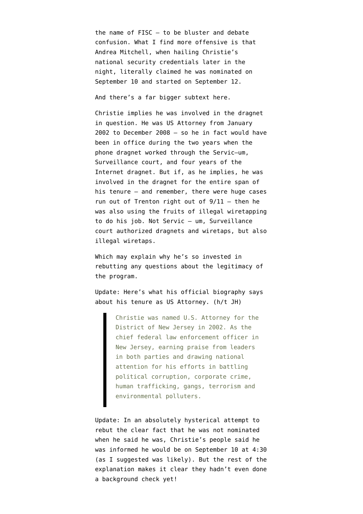the name of FISC — to be bluster and debate confusion. What I find more offensive is that Andrea Mitchell, when hailing Christie's national security credentials later in the night, literally claimed he was nominated on September 10 and started on September 12.

And there's a far bigger subtext here.

Christie implies he was involved in the dragnet in question. He was US Attorney from January 2002 to December 2008 — so he in fact would have been in office during the two years when the phone dragnet worked through the Servic–um, Surveillance court, and four years of the Internet dragnet. But if, as he implies, he was involved in the dragnet for the entire span of his tenure — and remember, there were huge cases run out of Trenton right out of  $9/11$  - then he was also using the fruits of illegal wiretapping to do his job. Not Servic — um, Surveillance court authorized dragnets and wiretaps, but also illegal wiretaps.

Which may explain why he's so invested in rebutting any questions about the legitimacy of the program.

Update: Here's what his [official biography](http://nj.gov/governor/admin/about/) says about his tenure as US Attorney. (h/t JH)

> Christie was named U.S. Attorney for the District of New Jersey in 2002. As the chief federal law enforcement officer in New Jersey, earning praise from leaders in both parties and drawing national attention for his efforts in battling political corruption, corporate crime, human trafficking, gangs, terrorism and environmental polluters.

Update: In an absolutely hysterical [attempt](http://www.app.com/story/news/politics/new-jersey/chris-christie/2015/08/07/chris-christie-us-attorney-appointment-nomination/31303073/) to rebut the clear fact that he was not nominated when he said he was, Christie's people said he was informed he would be on September 10 at 4:30 (as I suggested was likely). But the rest of the explanation makes it clear they hadn't even done a background check yet!